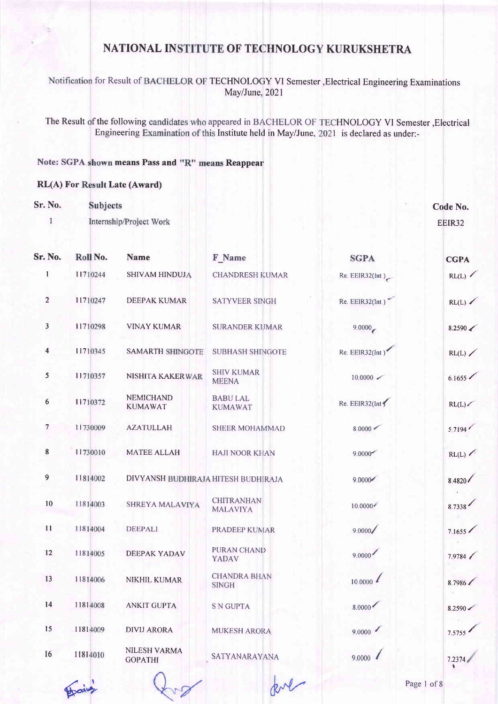for Result of BACHELOR OF TECHNOLOGY VI Semester , Electrical Engineering Examination May/June, 2021

The Result of the following candidates who appeared in BACHELOR OF TECHNOLOGY VI Semester, Electrical Engineering Examination of this Institute held in May/June, 2021 is declared as under:-

#### Note: SGPA shown means Pass and "R" means Reappear

#### RL(A) For Result Late (Award)

Sr. No. **Subjects** Code No. Internship/Project Work I EEIR32 Sr. No. Roll No. **Name** F Name **SGPA CGPA** 

|                         |          |                                     |                                      |                        | <u>coin</u>       |
|-------------------------|----------|-------------------------------------|--------------------------------------|------------------------|-------------------|
| 1                       | 11710244 | SHIVAM HINDUJA                      | <b>CHANDRESH KUMAR</b>               | Re. EER32(int)         | RL(L)             |
| $\overline{2}$          | 11710247 | DEEPAK KUMAR                        | <b>SATYVEER SINGH</b>                | Re. EEIR32(Int)        | RL(L)             |
| $\overline{\mathbf{3}}$ | 11710298 | <b>VINAY KUMAR</b>                  | <b>SURANDER KUMAR</b>                | 9.0000                 | $8.2590 \swarrow$ |
| $\overline{\mathbf{4}}$ | 11710345 | <b>SAMARTH SHINGOTE</b>             | <b>SUBHASH SHINGOTE</b>              | Re. EEIR32(Int)        | RL(L)             |
| 5                       | 11710357 | NISHITA KAKERWAR                    | <b>SHIV KUMAR</b><br><b>MEENA</b>    | $10,0000$ $\checkmark$ | 6.1655            |
| $6\phantom{.}6$         | 11710372 | <b>NEMICHAND</b><br><b>KUMAWAT</b>  | <b>BABU LAL</b><br><b>KUMAWAT</b>    | Re. E EIR32 (Int)      | RL(L)             |
| $\overline{7}$          | 11730009 | <b>AZATULLAH</b>                    | <b>SHEER MOHAMMAD</b>                | 8.0000 <               | 5.7194            |
| $\bf 8$                 | 11730010 | <b>MATEE ALLAH</b>                  | <b>HAJI NOOR KHAN</b>                | 9.0000                 | RL(L)             |
| $\overline{9}$          | 11814002 | DIVYANSH BUDHIRAJA HITESH BUDHIRAJA |                                      | 9.0000                 | 8.4820            |
| $10\,$                  | 11814003 | SHREYA MALAVIYA                     | <b>CHITRANHAN</b><br><b>MALAVIYA</b> | 10.0000                | 8.7338            |
| 11                      | 11814004 | <b>DEEPALI</b>                      | PRADEEP KUMAR                        | 9.0000/                | 7.1655            |
| 12                      | 11814005 | <b>DEEPAK YADAV</b>                 | <b>PURAN CHAND</b><br><b>YADAV</b>   | 9.0000                 | 7.9784            |
| 13                      | 11814006 | NIKHIL KUMAR                        | <b>CHANDRA BHAN</b><br><b>SINGH</b>  | 10.0000                | 8.7986            |
| 14                      | 11814008 | <b>ANKIT GUPTA</b>                  | <b>S N GUPTA</b>                     | 8.0000                 | 8.2590            |
| 15                      | 11814009 | <b>DIVIJ ARORA</b>                  | <b>MUKESH ARORA</b>                  | 9.0000                 | 7.5755            |
| 16                      | 11814010 | NILESH VARMA<br><b>GOPATHI</b>      | SATYANARAYANA                        | 9.0000                 | 7.2374            |
|                         | Hain     |                                     | pol                                  |                        | Page 1 of 8       |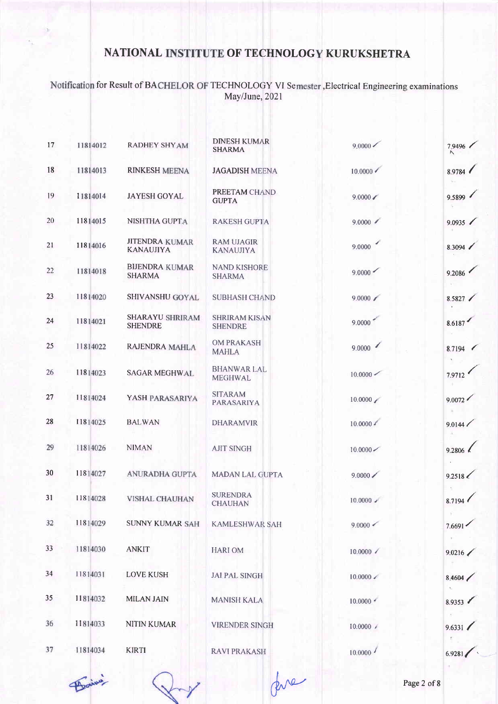Notification for Result of BACHELOR OF TECHNOLOGY VI Semester, Electrical Engineering examinations<br>May/June, 2021

| 17 | 11814012 | <b>RADHEY SHYAM</b>                       | <b>DINESH KUMAR</b><br><b>SHARMA</b>   | $9,0000 \swarrow$       | 7.9496<br>$\wedge$ |
|----|----------|-------------------------------------------|----------------------------------------|-------------------------|--------------------|
| 18 | 11814013 | <b>RINKESH MEENA</b>                      | <b>JAGADISH MEENA</b>                  | $10.0000 \times$        | 8.9784             |
| 19 | 11814014 | <b>JAYESH GOYAL</b>                       | PREETAM CHAND<br><b>GUPTA</b>          | $9.0000 \swarrow$       | 9.5899             |
| 20 | 11814015 | NISHTHA GUPTA                             | <b>RAKESH GUPTA</b>                    | 9.0000                  | 9.0935             |
| 21 | 11814016 | <b>JITENDRA KUMAR</b><br><b>KANAUJIYA</b> | <b>RAM UJAGIR</b><br><b>KANAUJIYA</b>  | 9.0000                  | 8.3094             |
| 22 | 11814018 | <b>BIJENDRA KUMAR</b><br><b>SHARMA</b>    | <b>NAND KISHORE</b><br><b>SHARMA</b>   | 9.0000                  | 9.2086             |
| 23 | 11814020 | SHIVANSHU GOYAL                           | <b>SUBHASH CHAND</b>                   | $9.0000 \swarrow$       | 8.5827             |
| 24 | 11814021 | <b>SHARAYU SHRIRAM</b><br><b>SHENDRE</b>  | <b>SHRIRAM KISAN</b><br><b>SHENDRE</b> | 9.0000                  | 8.6187             |
| 25 | 11814022 | RAJENDRA MAHLA                            | <b>OM PRAKASH</b><br><b>MAHLA</b>      | 9.0000                  | 8.7194             |
| 26 | 11814023 | <b>SAGAR MEGHWAL</b>                      | <b>BHANWAR LAL</b><br><b>MEGHWAL</b>   | $10.0000 \,$            | 7.9712             |
| 27 | 11814024 | YASH PARASARIYA                           | <b>SITARAM</b><br><b>PARASARIYA</b>    | 10.0000                 | 9.0072             |
| 28 | 11814025 | <b>BALWAN</b>                             | <b>DHARAMVIR</b>                       | $10.0000$ $\frac{1}{2}$ | 9.0144 /           |
| 29 | 11814026 | <b>NIMAN</b>                              | <b>AJIT SINGH</b>                      | 10,0000                 | 9.2806 $\ell$      |
| 30 | 11814027 | ANURADHA GUPTA                            | <b>MADAN LAL GUPTA</b>                 | $9.0000 \, \diagup$     | 9.2518             |
| 31 | 11814028 | <b>VISHAL CHAUHAN</b>                     | <b>SURENDRA</b><br><b>CHAUHAN</b>      | $10,0000$ $\checkmark$  | 8.7194             |
| 32 | 11814029 | <b>SUNNY KUMAR SAH</b>                    | <b>KAMLESHWAR SAH</b>                  | $9.0000 \swarrow$       | 7.6691             |
| 33 | 11814030 | <b>ANKIT</b>                              | <b>HARIOM</b>                          | $10.0000 \times$        | 9.0216             |
| 34 | 11814031 | <b>LOVE KUSH</b>                          | <b>JAI PAL SINGH</b>                   | $10.0000 \times$        | 8.4604             |
| 35 | 11814032 | <b>MILAN JAIN</b>                         | <b>MANISH KALA</b>                     |                         | 8.9353             |
| 36 | 11814033 | <b>NITIN KUMAR</b>                        | <b>VIRENDER SINGH</b>                  | $10.0000 \angle$        | 9.6331             |
| 37 | 11814034 | <b>KIRTI</b>                              | <b>RAVI PRAKASH</b>                    | 10.0000                 | 6.9281             |

fore

 $450$ 

Page 2 of 8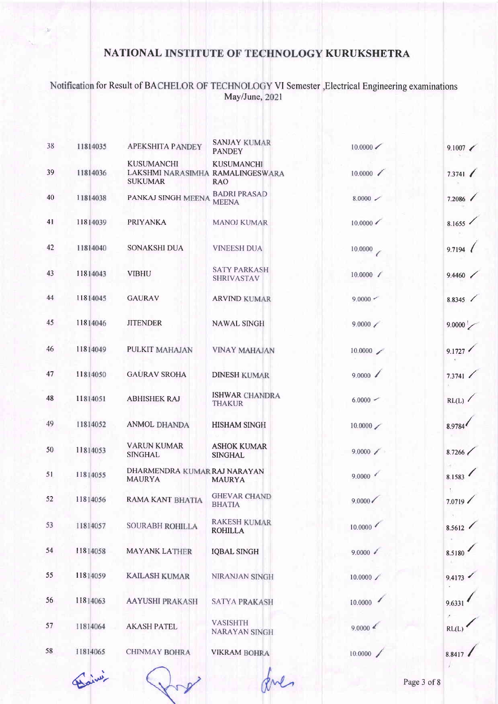# Notification for Result of BACHELOR OF TECHNOLOGY VI Semester , Electrical Engineering examinations<br>May/June, 2021

| 38 | 11814035 | <b>APEKSHITA PANDEY</b>                                                 | <b>SANJAY KUMAR</b><br><b>PANDEY</b>     | $10.0000 \swarrow$   | 9.1007 |
|----|----------|-------------------------------------------------------------------------|------------------------------------------|----------------------|--------|
| 39 | 11814036 | <b>KUSUMANCHI</b><br>LAKSHMI NARASIMHA RAMALINGESWARA<br><b>SUKUMAR</b> | <b>KUSUMANCHI</b><br><b>RAO</b>          | 10.0000              | 7.3741 |
| 40 | 11814038 | PANKAJ SINGH MEENA                                                      | <b>BADRI PRASAD</b><br><b>MEENA</b>      | $8.0000 \; \; \; \;$ | 7.2086 |
| 41 | 11814039 | <b>PRIYANKA</b>                                                         | <b>MANOJ KUMAR</b>                       | $10.0000 \, \times$  | 8.1655 |
| 42 | 11814040 | <b>SONAKSHI DUA</b>                                                     | <b>VINEESH DUA</b>                       | 10.0000              | 9.7194 |
| 43 | 11814043 | <b>VIBHU</b>                                                            | <b>SATY PARKASH</b><br><b>SHRIVASTAV</b> | $10.0000$ $\angle$   | 9.4460 |
| 44 | 11814045 | <b>GAURAV</b>                                                           | <b>ARVIND KUMAR</b>                      | $9.0000 -$           | 8.8345 |
| 45 | 11814046 | <b>JITENDER</b>                                                         | <b>NAWAL SINGH</b>                       | 9.0000               | 9.0000 |
| 46 | 11814049 | PULKIT MAHAJAN                                                          | <b>VINAY MAHAJAN</b>                     | 10.0000              | 9.1727 |
| 47 | 11814050 | <b>GAURAV SROHA</b>                                                     | <b>DINESH KUMAR</b>                      | 9.0000               | 7.3741 |
| 48 | 11814051 | <b>ABHISHEK RAJ</b>                                                     | <b>ISHWAR CHANDRA</b><br><b>THAKUR</b>   | $6.0000 -$           | RL(L)  |
| 49 | 11814052 | <b>ANMOL DHANDA</b>                                                     | <b>HISHAM SINGH</b>                      | 10.0000              | 8.9784 |
| 50 | 11814053 | <b>VARUN KUMAR</b><br><b>SINGHAL</b>                                    | <b>ASHOK KUMAR</b><br><b>SINGHAL</b>     | 9.0000               | 8.7266 |
| 51 | 11814055 | DHARMENDRA KUMAR RAJ NARAYAN<br><b>MAURYA</b>                           | <b>MAURYA</b>                            | 9.0000               | 8.1583 |
| 52 | 11814056 | <b>RAMA KANT BHATIA</b>                                                 | <b>GHEVAR CHAND</b><br><b>BHATIA</b>     | 9.0000               | 7.0719 |
| 53 | 11814057 | SOURABH ROHILLA                                                         | <b>RAKESH KUMAR</b><br><b>ROHILLA</b>    | 10.0000              | 8.5612 |
| 54 | 11814058 | <b>MAYANK LATHER</b>                                                    | <b>IQBAL SINGH</b>                       | 9.0000               | 8.5180 |
| 55 | 11814059 | <b>KAILASH KUMAR</b>                                                    | NIRANJAN SINGH                           | $10.0000$ $\angle$   | 9.4173 |
| 56 | 11814063 | <b>AAYUSHI PRAKASH</b>                                                  | <b>SATYA PRAKASH</b>                     | 10,0000              | 9.6331 |
| 57 | 11814064 | <b>AKASH PATEL</b>                                                      | <b>VASISHTH</b><br>NARAYAN SINGH         | 9.0000               | RL(L)  |
| 58 | 11814065 | <b>CHINMAY BOHRA</b>                                                    | <b>VIKRAM BOHRA</b>                      | 10.0000              | 8.8417 |
|    |          |                                                                         |                                          |                      |        |

Daine

Rue

Page 3 of 8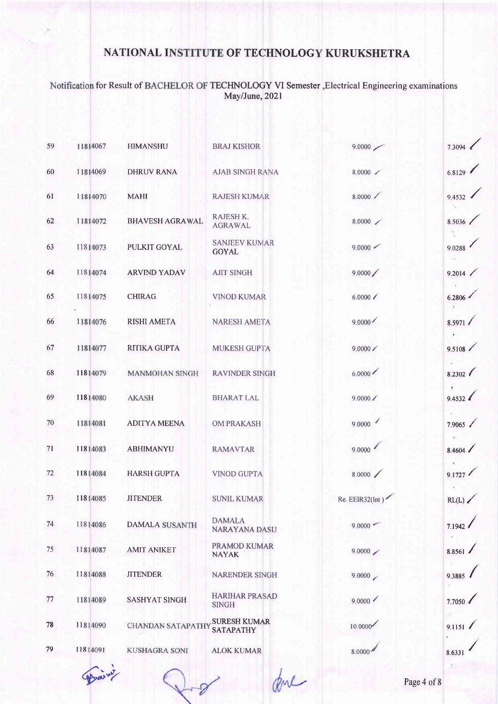Notification for Result of BACHELOR OF TECHNOLOGY VI Semester , Electrical Engineering examinations<br>May/June, 2021

| 59 | 11814067 | <b>HIMANSHU</b>          | <b>BRAJ KISHOR</b>                      | 9.0000                               | 7.3094    |
|----|----------|--------------------------|-----------------------------------------|--------------------------------------|-----------|
| 60 | 11814069 | <b>DHRUV RANA</b>        | <b>AJAB SINGH RANA</b>                  | $8.0000$ $\checkmark$                | 6.8129    |
| 61 | 11814070 | <b>MAHI</b>              | <b>RAJESH KUMAR</b>                     | 8.0000                               | 9.4532    |
| 62 | 11814072 | <b>BHAVESH AGRAWAL</b>   | RAJESH K.<br><b>AGRAWAL</b>             | $8.0000 \swarrow$                    | 8.5036    |
| 63 | 11814073 | <b>PULKIT GOYAL</b>      | <b>SANJEEV KUMAR</b><br><b>GOYAL</b>    | 9.0000                               | 9.0288    |
| 64 | 11814074 | <b>ARVIND YADAV</b>      | <b>AJIT SINGH</b>                       | 9.0000/                              | 9.2014    |
| 65 | 11814075 | <b>CHIRAG</b>            | <b>VINOD KUMAR</b>                      | 6.0000 /                             | 6.2806    |
| 66 | 11814076 | <b>RISHI AMETA</b>       | <b>NARESH AMETA</b>                     | 9.0000                               | 8.5971    |
| 67 | 11814077 | <b>RITIKA GUPTA</b>      | MUKESH GUPTA                            | 9.0000 /                             | 9.5108    |
| 68 | 11814079 | <b>MANMOHAN SINGH</b>    | <b>RAVINDER SINGH</b>                   | 6.0000                               | 8.2302    |
| 69 | 11814080 | <b>AKASH</b>             | <b>BHARAT LAL</b>                       | 9.0000 /                             | 9.4532    |
| 70 | 11814081 | <b>ADITYA MEENA</b>      | <b>OM PRAKASH</b>                       | 9.0000                               | 7.9065 /  |
| 71 | 11814083 | ABHIMANYU                | <b>RAMAVTAR</b>                         | 9.0000                               | 8.4604    |
| 72 | 11814084 | <b>HARSH GUPTA</b>       | <b>VINOD GUPTA</b>                      | 8.0000                               | 9.1727    |
| 73 | 11814085 | <b>JITENDER</b>          | <b>SUNIL KUMAR</b>                      | Re. EEIR32(Int)                      | $RL(L)$ . |
| 74 | 11814086 | <b>DAMALA SUSANTH</b>    | <b>DAMALA</b><br>NARAYANA DASU          | $9,0000$ –                           | 7.1942    |
| 75 | 11814087 | <b>AMIT ANIKET</b>       | PRAMOD KUMAR<br><b>NAYAK</b>            | 9.0000                               | 8.8561    |
| 76 | 11814088 | <b>JITENDER</b>          | <b>NARENDER SINGH</b>                   | 9.0000                               | 9.3885    |
| 77 | 11814089 | <b>SASHYAT SINGH</b>     | <b>HARIHAR PRASAD</b><br><b>SINGH</b>   | 9.0000                               | 7.7050    |
| 78 | 11814090 | <b>CHANDAN SATAPATHY</b> | <b>SURESH KUMAR</b><br><b>SATAPATHY</b> | 10.0000                              | 9.1151    |
| 79 | 11814091 | <b>KUSHAGRA SONI</b>     | <b>ALOK KUMAR</b>                       | $8.0000$ <sup><math>\AA</math></sup> | 8.6331    |

ame

Daiwy

Page 4 of 8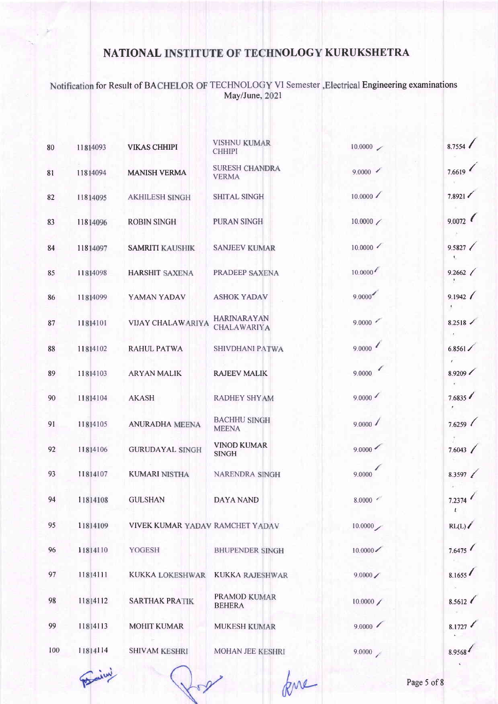Notification for Result of BACHELOR OF TECHNOLOGY VI Semester , Electrical Engineering examinations<br>May/June, 2021

| 80  | 11814093 | <b>VIKAS CHHIPI</b>             | <b>VISHNU KUMAR</b><br><b>CHHIPI</b>  | 10.0000            | 8.7554                    |
|-----|----------|---------------------------------|---------------------------------------|--------------------|---------------------------|
| 81  | 11814094 | <b>MANISH VERMA</b>             | <b>SURESH CHANDRA</b><br><b>VERMA</b> | 9.0000             | 7.6619                    |
| 82  | 11814095 | <b>AKHILESH SINGH</b>           | <b>SHITAL SINGH</b>                   | 10.0000            | 7.8921                    |
| 83  | 11814096 | <b>ROBIN SINGH</b>              | PURAN SINGH                           | $10.0000$ $\angle$ | 9.0072                    |
| 84  | 11814097 | <b>SAMRITI KAUSHIK</b>          | <b>SANJEEV KUMAR</b>                  | 10,0000            | 9.5827<br>ŧ.              |
| 85  | 11814098 | <b>HARSHIT SAXENA</b>           | PRADEEP SAXENA                        | 10.0000            | 9.2662                    |
| 86  | 11814099 | YAMAN YADAV                     | <b>ASHOK YADAV</b>                    | 9.0000             | 9.1942<br>$\pmb{\lambda}$ |
| 87  | 11814101 | <b>VIJAY CHALAWARIYA</b>        | HARINARAYAN<br>CHALAWARIYA            | 9.0000             | 8.2518                    |
| 88  | 11814102 | <b>RAHUL PATWA</b>              | SHIVDHANI PATWA                       | 9.0000             | $6.8561 \angle$           |
| 89  | 11814103 | <b>ARYAN MALIK</b>              | <b>RAJEEV MALIK</b>                   | 9.0000             | 8.9209                    |
| 90  | 11814104 | <b>AKASH</b>                    | <b>RADHEY SHYAM</b>                   | 9.0000             | 7.6835                    |
| 91  | 11814105 | <b>ANURADHA MEENA</b>           | <b>BACHHU SINGH</b><br><b>MEENA</b>   | 9.0000             | 7.6259                    |
| 92  | 11814106 | <b>GURUDAYAL SINGH</b>          | <b>VINOD KUMAR</b><br><b>SINGH</b>    | 9.0000             | 7.6043                    |
| 93  | 11814107 | <b>KUMARI NISTHA</b>            | NARENDRA SINGH                        | 9.0000             | 8.3597 $\ell$             |
| 94  | 11814108 | <b>GULSHAN</b>                  | <b>DAYA NAND</b>                      | 8.0000             | 7.2374                    |
| 95  | 11814109 | VIVEK KUMAR YADAV RAMCHET YADAV |                                       | 10.0000            | RL(L)                     |
| 96  | 11814110 | YOGESH                          | <b>BHUPENDER SINGH</b>                | 10.0000            | 7.6475                    |
| 97  | 11814111 | <b>KUKKA LOKESHWAR</b>          | <b>KUKKA RAJESHWAR</b>                | 9.0000/            | 8.1655                    |
| 98  | 11814112 | <b>SARTHAK PRATIK</b>           | PRAMOD KUMAR<br><b>BEHERA</b>         | 10.0000            | 8.5612                    |
| 99  | 11814113 | <b>MOHIT KUMAR</b>              | <b>MUKESH KUMAR</b>                   | 9.0000             | 8.1727                    |
| 100 | 11814114 | <b>SHIVAM KESHRI</b>            | MOHAN JEE KESHRI                      | 9.0000             | 8.9568                    |

Procini

kne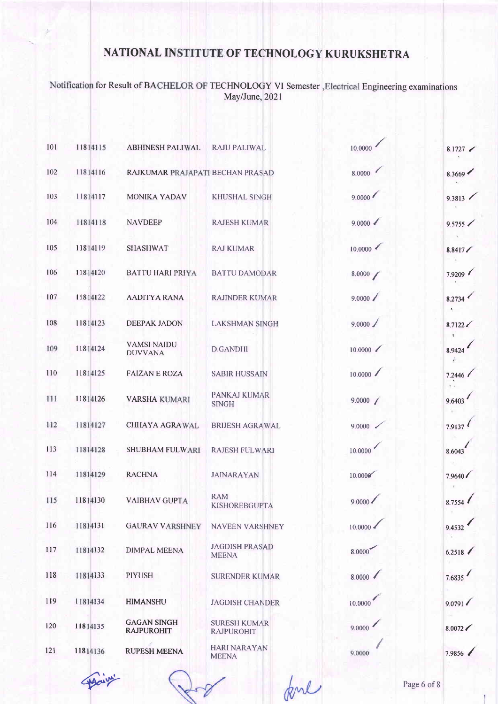Notification for Result of BACHELOR OF TECHNOLOGY VI Semester , Electrical Engineering examinations<br>May/June, 2021

| 101 | 11814115 | <b>ABHINESH PALIWAL</b>                 | <b>RAJU PALIWAL</b>                      | 10.0000              | 8.1727  |
|-----|----------|-----------------------------------------|------------------------------------------|----------------------|---------|
| 102 | 11814116 | RAJKUMAR PRAJAPATI BECHAN PRASAD        |                                          | $\epsilon$<br>8.0000 | 8.3669  |
| 103 | 11814117 | MONIKA YADAV                            | <b>KHUSHAL SINGH</b>                     | 9.0000               | 9.3813  |
| 104 | 11814118 | <b>NAVDEEP</b>                          | <b>RAJESH KUMAR</b>                      | 9.0000               | 9.5755  |
| 105 | 11814119 | <b>SHASHWAT</b>                         | <b>RAJ KUMAR</b>                         | 10,0000              | 8.8417/ |
| 106 | 11814120 | <b>BATTU HARI PRIYA</b>                 | <b>BATTU DAMODAR</b>                     | 8.0000 /             | 7.9209  |
| 107 | 11814122 | <b>AADITYA RANA</b>                     | <b>RAJINDER KUMAR</b>                    | 9.0000 /             | 8.2734  |
| 108 | 11814123 | <b>DEEPAK JADON</b>                     | <b>LAKSHMAN SINGH</b>                    | 9.0000 /             | 8.7122  |
| 109 | 11814124 | <b>VAMSI NAIDU</b><br><b>DUVVANA</b>    | <b>D.GANDHI</b>                          | 10.0000              | 8.9424  |
| 110 | 11814125 | <b>FAIZAN E ROZA</b>                    | <b>SABIR HUSSAIN</b>                     | 10.0000              | 7.2446  |
| 111 | 11814126 | <b>VARSHA KUMARI</b>                    | PANKAJ KUMAR<br><b>SINGH</b>             | 9.0000 /             | 9.6403  |
| 112 | 11814127 | <b>CHHAYA AGRAWAL</b>                   | <b>BRIJESH AGRAWAL</b>                   | 9.0000 <             | 7.9137  |
| 113 | 11814128 | <b>SHUBHAM FULWARI</b>                  | <b>RAJESH FULWARI</b>                    | 10.0000              | 8.6043  |
| 114 | 11814129 | <b>RACHNA</b>                           | <b>JAINARAYAN</b>                        | 10.0006              | 7.9640  |
| 115 | 11814130 | <b>VAIBHAV GUPTA</b>                    | <b>RAM</b><br><b>KISHOREBGUFTA</b>       | 9.0000               | 8.7554  |
| 116 | 11814131 | <b>GAURAV VARSHNEY</b>                  | <b>NAVEEN VARSHNEY</b>                   | 10.0000              | 9.4532  |
| 117 | 11814132 | <b>DIMPAL MEENA</b>                     | <b>JAGDISH PRASAD</b><br><b>MEENA</b>    | 8.0000               | 6.2518  |
| 118 | 11814133 | <b>PIYUSH</b>                           | <b>SURENDER KUMAR</b>                    | 8.0000               | 7.6835  |
| 119 | 11814134 | <b>HIMANSHU</b>                         | <b>JAGDISH CHANDER</b>                   | 10.0000              | 9.0791  |
| 120 | 11814135 | <b>GAGAN SINGH</b><br><b>RAJPUROHIT</b> | <b>SURESH KUMAR</b><br><b>RAJPUROHIT</b> | 9.0000               | 8.0072  |
| 121 | 11814136 | <b>RUPESH MEENA</b>                     | <b>HARI NARAYAN</b><br><b>MEENA</b>      | 9.0000               | 7.9856  |
|     |          |                                         |                                          |                      |         |

fone

Sugary

Page 6 of 8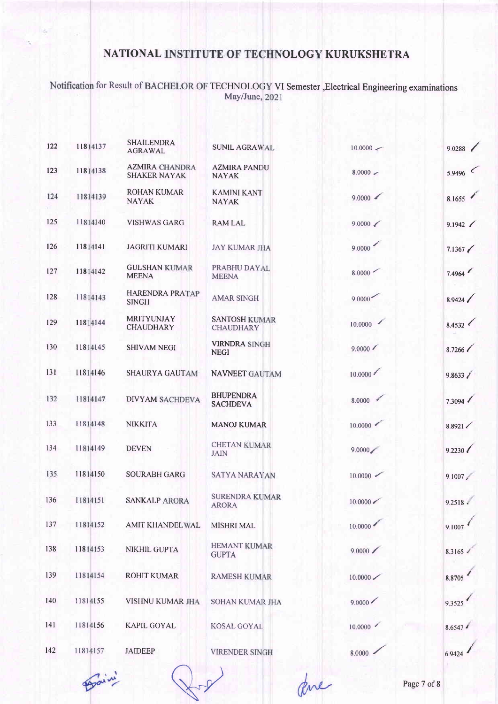Notification for Result of BACHELOR OF TECHNOLOGY VI Semester , Electrical Engineering examinations<br>May/June, 2021

| 122 | 11814137 | <b>SHAILENDRA</b><br><b>AGRAWAL</b>          | <b>SUNIL AGRAWAL</b>                     | $10.0000 \leftarrow$  | 9.0288        |
|-----|----------|----------------------------------------------|------------------------------------------|-----------------------|---------------|
| 123 | 11814138 | <b>AZMIRA CHANDRA</b><br><b>SHAKER NAYAK</b> | <b>AZMIRA PANDU</b><br><b>NAYAK</b>      | $8.0000 -$            | 5.9496        |
| 124 | 11814139 | <b>ROHAN KUMAR</b><br><b>NAYAK</b>           | <b>KAMINI KANT</b><br><b>NAYAK</b>       | 9.0000                | 8.1655        |
| 125 | 11814140 | <b>VISHWAS GARG</b>                          | <b>RAM LAL</b>                           | 9.0000                | 9.1942 /      |
| 126 | 11814141 | <b>JAGRITI KUMARI</b>                        | <b>JAY KUMAR JHA</b>                     | 9.0000                | 7.1367        |
| 127 | 11814142 | <b>GULSHAN KUMAR</b><br><b>MEENA</b>         | PRABHU DAYAL<br><b>MEENA</b>             | 8.0000                | 7.4964        |
| 128 | 11814143 | <b>HARENDRA PRATAP</b><br><b>SINGH</b>       | <b>AMAR SINGH</b>                        | 9.0000                | 8.9424        |
| 129 | 11814144 | <b>MRITYUNJAY</b><br><b>CHAUDHARY</b>        | <b>SANTOSH KUMAR</b><br><b>CHAUDHARY</b> | 10.0000               | 8.4532        |
| 130 | 11814145 | <b>SHIVAM NEGI</b>                           | <b>VIRNDRA SINGH</b><br><b>NEGI</b>      | $9.0000 \swarrow$     | 8.7266        |
| 131 | 11814146 | <b>SHAURYA GAUTAM</b>                        | <b>NAVNEET GAUTAM</b>                    | 10.0000               | 9.8633 /      |
| 132 | 11814147 | <b>DIVYAM SACHDEVA</b>                       | <b>BHUPENDRA</b><br><b>SACHDEVA</b>      | 8.0000                | 7.3094        |
| 133 | 11814148 | <b>NIKKITA</b>                               | <b>MANOJ KUMAR</b>                       | 10.0000               | 8.8921        |
| 134 | 11814149 | <b>DEVEN</b>                                 | <b>CHETAN KUMAR</b><br><b>JAIN</b>       | 9.0000                | 9.2230        |
| 135 | 11814150 | <b>SOURABH GARG</b>                          | <b>SATYA NARAYAN</b>                     | $10.0000$ $\sim$      | 9.1007        |
| 136 | 11814151 | <b>SANKALP ARORA</b>                         | <b>SURENDRA KUMAR</b><br><b>ARORA</b>    | $10.0000 \, \text{m}$ | $9.2518 \div$ |
| 137 | 11814152 | <b>AMIT KHANDELWAL</b>                       | <b>MISHRI MAL</b>                        | 10.0000               | 9.1007        |
| 138 | 11814153 | NIKHIL GUPTA                                 | <b>HEMANT KUMAR</b><br><b>GUPTA</b>      | 9.0000                | 8.3165        |
| 139 | 11814154 | <b>ROHIT KUMAR</b>                           | <b>RAMESH KUMAR</b>                      | 10.0000               | 8.8705        |
| 140 | 11814155 | VISHNU KUMAR JHA                             | SOHAN KUMAR JHA                          | 9.0000                | 9.3525        |
| 141 | 11814156 | <b>KAPIL GOYAL</b>                           | KOSAL GOYAL                              | 10,0000               | $8.6547*$     |
| 142 | 11814157 | <b>JAIDEEP</b>                               | <b>VIRENDER SINGH</b>                    | 8.0000                | 6.9424        |

Prain

ave